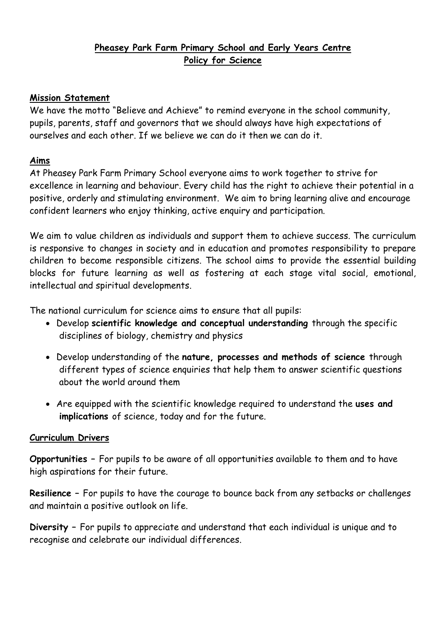# **Pheasey Park Farm Primary School and Early Years Centre Policy for Science**

#### **Mission Statement**

We have the motto "Believe and Achieve" to remind everyone in the school community, pupils, parents, staff and governors that we should always have high expectations of ourselves and each other. If we believe we can do it then we can do it.

#### **Aims**

At Pheasey Park Farm Primary School everyone aims to work together to strive for excellence in learning and behaviour. Every child has the right to achieve their potential in a positive, orderly and stimulating environment. We aim to bring learning alive and encourage confident learners who enjoy thinking, active enquiry and participation.

We aim to value children as individuals and support them to achieve success. The curriculum is responsive to changes in society and in education and promotes responsibility to prepare children to become responsible citizens. The school aims to provide the essential building blocks for future learning as well as fostering at each stage vital social, emotional, intellectual and spiritual developments.

The national curriculum for science aims to ensure that all pupils:

- Develop **scientific knowledge and conceptual understanding** through the specific disciplines of biology, chemistry and physics
- Develop understanding of the **nature, processes and methods of science** through different types of science enquiries that help them to answer scientific questions about the world around them
- Are equipped with the scientific knowledge required to understand the **uses and implications** of science, today and for the future.

### **Curriculum Drivers**

**Opportunities –** For pupils to be aware of all opportunities available to them and to have high aspirations for their future.

**Resilience –** For pupils to have the courage to bounce back from any setbacks or challenges and maintain a positive outlook on life.

**Diversity –** For pupils to appreciate and understand that each individual is unique and to recognise and celebrate our individual differences.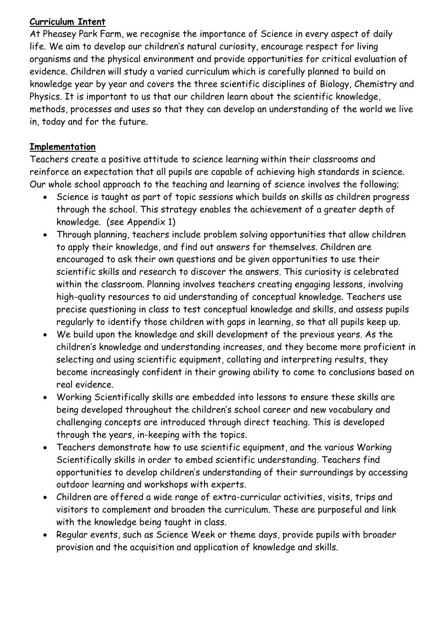### **Curriculum Intent**

At Pheasey Park Farm, we recognise the importance of Science in every aspect of daily life. We aim to develop our children's natural curiosity, encourage respect for living organisms and the physical environment and provide opportunities for critical evaluation of evidence. Children will study a varied curriculum which is carefully planned to build on knowledge year by year and covers the three scientific disciplines of Biology, Chemistry and Physics. It is important to us that our children learn about the scientific knowledge, methods, processes and uses so that they can develop an understanding of the world we live in, today and for the future.

# **Implementation**

Teachers create a positive attitude to science learning within their classrooms and reinforce an expectation that all pupils are capable of achieving high standards in science. Our whole school approach to the teaching and learning of science involves the following;

- Science is taught as part of topic sessions which builds on skills as children progress through the school. This strategy enables the achievement of a greater depth of knowledge. (see Appendix 1)
- Through planning, teachers include problem solving opportunities that allow children to apply their knowledge, and find out answers for themselves. Children are encouraged to ask their own questions and be given opportunities to use their scientific skills and research to discover the answers. This curiosity is celebrated within the classroom. Planning involves teachers creating engaging lessons, involving high-quality resources to aid understanding of conceptual knowledge. Teachers use precise questioning in class to test conceptual knowledge and skills, and assess pupils regularly to identify those children with gaps in learning, so that all pupils keep up.
- We build upon the knowledge and skill development of the previous years. As the children's knowledge and understanding increases, and they become more proficient in selecting and using scientific equipment, collating and interpreting results, they become increasingly confident in their growing ability to come to conclusions based on real evidence.
- Working Scientifically skills are embedded into lessons to ensure these skills are being developed throughout the children's school career and new vocabulary and challenging concepts are introduced through direct teaching. This is developed through the years, in-keeping with the topics.
- Teachers demonstrate how to use scientific equipment, and the various Working Scientifically skills in order to embed scientific understanding. Teachers find opportunities to develop children's understanding of their surroundings by accessing outdoor learning and workshops with experts.
- Children are offered a wide range of extra-curricular activities, visits, trips and visitors to complement and broaden the curriculum. These are purposeful and link with the knowledge being taught in class.
- Regular events, such as Science Week or theme days, provide pupils with broader provision and the acquisition and application of knowledge and skills.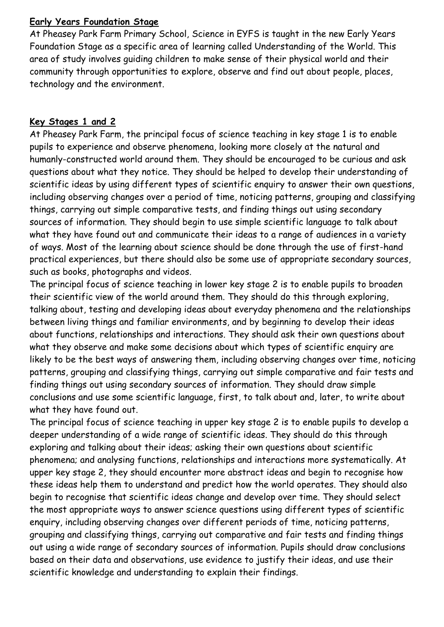### **Early Years Foundation Stage**

At Pheasey Park Farm Primary School, Science in EYFS is taught in the new Early Years Foundation Stage as a specific area of learning called Understanding of the World. This area of study involves guiding children to make sense of their physical world and their community through opportunities to explore, observe and find out about people, places, technology and the environment.

### **Key Stages 1 and 2**

At Pheasey Park Farm, the principal focus of science teaching in key stage 1 is to enable pupils to experience and observe phenomena, looking more closely at the natural and humanly-constructed world around them. They should be encouraged to be curious and ask questions about what they notice. They should be helped to develop their understanding of scientific ideas by using different types of scientific enquiry to answer their own questions, including observing changes over a period of time, noticing patterns, grouping and classifying things, carrying out simple comparative tests, and finding things out using secondary sources of information. They should begin to use simple scientific language to talk about what they have found out and communicate their ideas to a range of audiences in a variety of ways. Most of the learning about science should be done through the use of first-hand practical experiences, but there should also be some use of appropriate secondary sources, such as books, photographs and videos.

The principal focus of science teaching in lower key stage 2 is to enable pupils to broaden their scientific view of the world around them. They should do this through exploring, talking about, testing and developing ideas about everyday phenomena and the relationships between living things and familiar environments, and by beginning to develop their ideas about functions, relationships and interactions. They should ask their own questions about what they observe and make some decisions about which types of scientific enquiry are likely to be the best ways of answering them, including observing changes over time, noticing patterns, grouping and classifying things, carrying out simple comparative and fair tests and finding things out using secondary sources of information. They should draw simple conclusions and use some scientific language, first, to talk about and, later, to write about what they have found out.

The principal focus of science teaching in upper key stage 2 is to enable pupils to develop a deeper understanding of a wide range of scientific ideas. They should do this through exploring and talking about their ideas; asking their own questions about scientific phenomena; and analysing functions, relationships and interactions more systematically. At upper key stage 2, they should encounter more abstract ideas and begin to recognise how these ideas help them to understand and predict how the world operates. They should also begin to recognise that scientific ideas change and develop over time. They should select the most appropriate ways to answer science questions using different types of scientific enquiry, including observing changes over different periods of time, noticing patterns, grouping and classifying things, carrying out comparative and fair tests and finding things out using a wide range of secondary sources of information. Pupils should draw conclusions based on their data and observations, use evidence to justify their ideas, and use their scientific knowledge and understanding to explain their findings.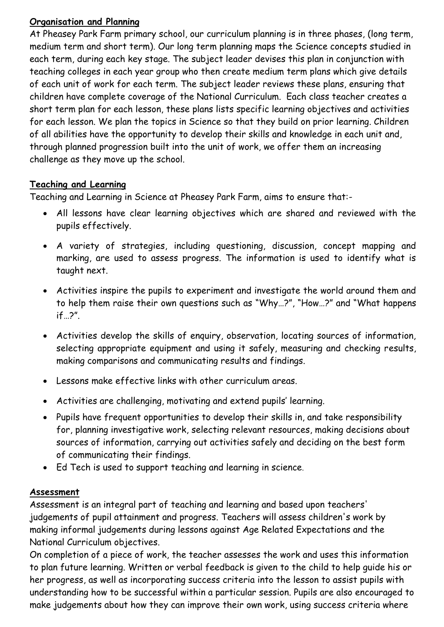# **Organisation and Planning**

At Pheasey Park Farm primary school, our curriculum planning is in three phases, (long term, medium term and short term). Our long term planning maps the Science concepts studied in each term, during each key stage. The subject leader devises this plan in conjunction with teaching colleges in each year group who then create medium term plans which give details of each unit of work for each term. The subject leader reviews these plans, ensuring that children have complete coverage of the National Curriculum. Each class teacher creates a short term plan for each lesson, these plans lists specific learning objectives and activities for each lesson. We plan the topics in Science so that they build on prior learning. Children of all abilities have the opportunity to develop their skills and knowledge in each unit and, through planned progression built into the unit of work, we offer them an increasing challenge as they move up the school.

### **Teaching and Learning**

Teaching and Learning in Science at Pheasey Park Farm, aims to ensure that:-

- All lessons have clear learning objectives which are shared and reviewed with the pupils effectively.
- A variety of strategies, including questioning, discussion, concept mapping and marking, are used to assess progress. The information is used to identify what is taught next.
- Activities inspire the pupils to experiment and investigate the world around them and to help them raise their own questions such as "Why…?", "How…?" and "What happens if…?".
- Activities develop the skills of enquiry, observation, locating sources of information, selecting appropriate equipment and using it safely, measuring and checking results, making comparisons and communicating results and findings.
- Lessons make effective links with other curriculum areas.
- Activities are challenging, motivating and extend pupils' learning.
- Pupils have frequent opportunities to develop their skills in, and take responsibility for, planning investigative work, selecting relevant resources, making decisions about sources of information, carrying out activities safely and deciding on the best form of communicating their findings.
- Ed Tech is used to support teaching and learning in science.

### **Assessment**

Assessment is an integral part of teaching and learning and based upon teachers' judgements of pupil attainment and progress. Teachers will assess children's work by making informal judgements during lessons against Age Related Expectations and the National Curriculum objectives.

On completion of a piece of work, the teacher assesses the work and uses this information to plan future learning. Written or verbal feedback is given to the child to help guide his or her progress, as well as incorporating success criteria into the lesson to assist pupils with understanding how to be successful within a particular session. Pupils are also encouraged to make judgements about how they can improve their own work, using success criteria where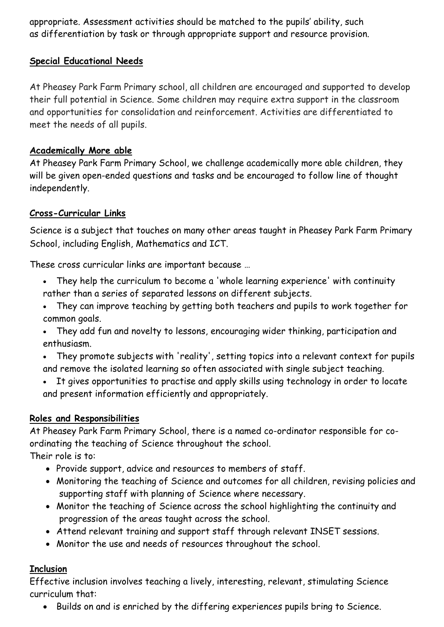appropriate. Assessment activities should be matched to the pupils' ability, such as differentiation by task or through appropriate support and resource provision.

# **Special Educational Needs**

At Pheasey Park Farm Primary school, all children are encouraged and supported to develop their full potential in Science. Some children may require extra support in the classroom and opportunities for consolidation and reinforcement. Activities are differentiated to meet the needs of all pupils.

# **Academically More able**

At Pheasey Park Farm Primary School, we challenge academically more able children, they will be given open-ended questions and tasks and be encouraged to follow line of thought independently.

# **Cross-Curricular Links**

Science is a subject that touches on many other areas taught in Pheasey Park Farm Primary School, including English, Mathematics and ICT.

These cross curricular links are important because …

- They help the curriculum to become a 'whole learning experience' with continuity rather than a series of separated lessons on different subjects.
- They can improve teaching by getting both teachers and pupils to work together for common goals.
- They add fun and novelty to lessons, encouraging wider thinking, participation and enthusiasm.
- They promote subjects with 'reality', setting topics into a relevant context for pupils and remove the isolated learning so often associated with single subject teaching.
- It gives opportunities to practise and apply skills using technology in order to locate and present information efficiently and appropriately.

# **Roles and Responsibilities**

At Pheasey Park Farm Primary School, there is a named co-ordinator responsible for coordinating the teaching of Science throughout the school.

Their role is to:

- Provide support, advice and resources to members of staff.
- Monitoring the teaching of Science and outcomes for all children, revising policies and supporting staff with planning of Science where necessary.
- Monitor the teaching of Science across the school highlighting the continuity and progression of the areas taught across the school.
- Attend relevant training and support staff through relevant INSET sessions.
- Monitor the use and needs of resources throughout the school.

# **Inclusion**

Effective inclusion involves teaching a lively, interesting, relevant, stimulating Science curriculum that:

Builds on and is enriched by the differing experiences pupils bring to Science.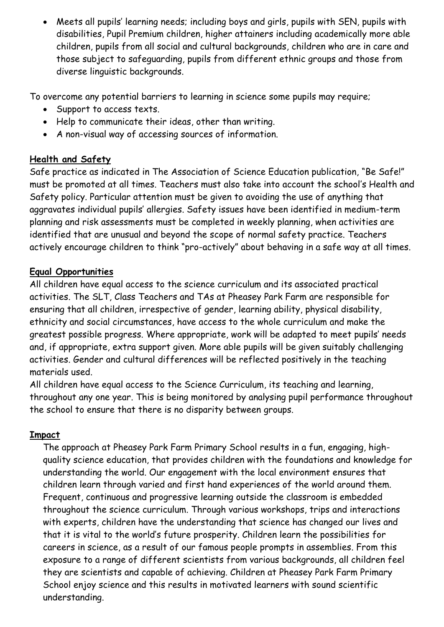Meets all pupils' learning needs; including boys and girls, pupils with SEN, pupils with disabilities, Pupil Premium children, higher attainers including academically more able children, pupils from all social and cultural backgrounds, children who are in care and those subject to safeguarding, pupils from different ethnic groups and those from diverse linguistic backgrounds.

To overcome any potential barriers to learning in science some pupils may require;

- Support to access texts.
- Help to communicate their ideas, other than writing.
- A non-visual way of accessing sources of information.

### **Health and Safety**

Safe practice as indicated in The Association of Science Education publication, "Be Safe!" must be promoted at all times. Teachers must also take into account the school's Health and Safety policy. Particular attention must be given to avoiding the use of anything that aggravates individual pupils' allergies. Safety issues have been identified in medium-term planning and risk assessments must be completed in weekly planning, when activities are identified that are unusual and beyond the scope of normal safety practice. Teachers actively encourage children to think "pro-actively" about behaving in a safe way at all times.

### **Equal Opportunities**

All children have equal access to the science curriculum and its associated practical activities. The SLT, Class Teachers and TAs at Pheasey Park Farm are responsible for ensuring that all children, irrespective of gender, learning ability, physical disability, ethnicity and social circumstances, have access to the whole curriculum and make the greatest possible progress. Where appropriate, work will be adapted to meet pupils' needs and, if appropriate, extra support given. More able pupils will be given suitably challenging activities. Gender and cultural differences will be reflected positively in the teaching materials used.

All children have equal access to the Science Curriculum, its teaching and learning, throughout any one year. This is being monitored by analysing pupil performance throughout the school to ensure that there is no disparity between groups.

# **Impact**

The approach at Pheasey Park Farm Primary School results in a fun, engaging, highquality science education, that provides children with the foundations and knowledge for understanding the world. Our engagement with the local environment ensures that children learn through varied and first hand experiences of the world around them. Frequent, continuous and progressive learning outside the classroom is embedded throughout the science curriculum. Through various workshops, trips and interactions with experts, children have the understanding that science has changed our lives and that it is vital to the world's future prosperity. Children learn the possibilities for careers in science, as a result of our famous people prompts in assemblies. From this exposure to a range of different scientists from various backgrounds, all children feel they are scientists and capable of achieving. Children at Pheasey Park Farm Primary School enjoy science and this results in motivated learners with sound scientific understanding.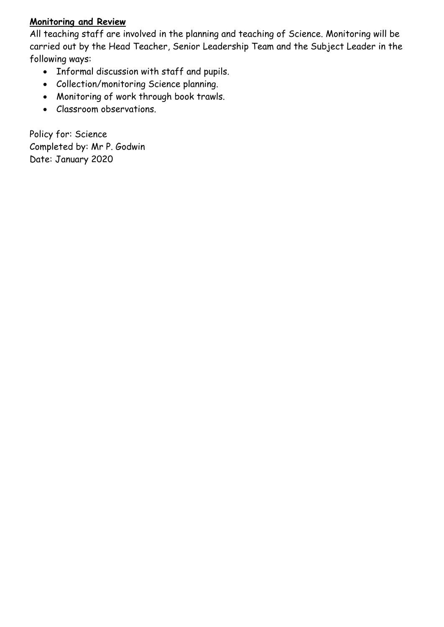### **Monitoring and Review**

All teaching staff are involved in the planning and teaching of Science. Monitoring will be carried out by the Head Teacher, Senior Leadership Team and the Subject Leader in the following ways:

- Informal discussion with staff and pupils.
- Collection/monitoring Science planning.
- Monitoring of work through book trawls.
- Classroom observations.

Policy for: Science Completed by: Mr P. Godwin Date: January 2020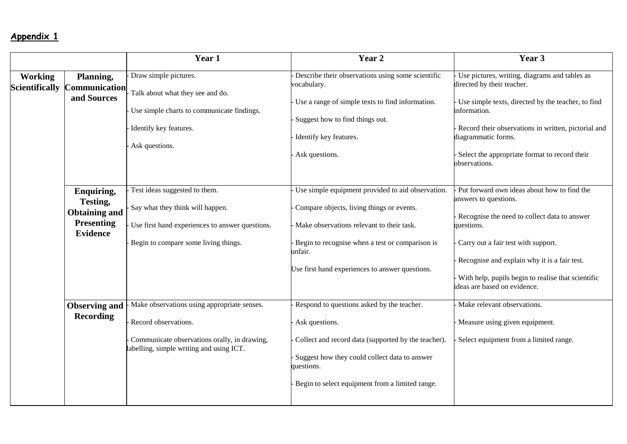# **Appendix 1**

|                                  |                                                                                        | Year 1                                                                                                                                                            | Year 2                                                                                                                                                                                                                                                       | Year 3                                                                                                                                                                                                                                                                                                          |
|----------------------------------|----------------------------------------------------------------------------------------|-------------------------------------------------------------------------------------------------------------------------------------------------------------------|--------------------------------------------------------------------------------------------------------------------------------------------------------------------------------------------------------------------------------------------------------------|-----------------------------------------------------------------------------------------------------------------------------------------------------------------------------------------------------------------------------------------------------------------------------------------------------------------|
| <b>Working</b><br>Scientifically | Planning,<br>Communication<br>and Sources                                              | Draw simple pictures.<br>Talk about what they see and do.<br>Use simple charts to communicate findings.<br>Identify key features.<br>Ask questions.               | Describe their observations using some scientific<br>vocabulary.<br>Use a range of simple texts to find information.<br>Suggest how to find things out.<br>Identify key features.<br>Ask questions.                                                          | Use pictures, writing, diagrams and tables as<br>directed by their teacher.<br>Use simple texts, directed by the teacher, to find<br>information.<br>Record their observations in written, pictorial and<br>diagrammatic forms.<br>Select the appropriate format to record their<br>observations.               |
|                                  | Enquiring,<br>Testing,<br><b>Obtaining and</b><br><b>Presenting</b><br><b>Evidence</b> | Test ideas suggested to them.<br>Say what they think will happen.<br>Use first hand experiences to answer questions.<br>Begin to compare some living things.      | Use simple equipment provided to aid observation.<br>Compare objects, living things or events.<br>Make observations relevant to their task.<br>Begin to recognise when a test or comparison is<br>unfair.<br>Use first hand experiences to answer questions. | Put forward own ideas about how to find the<br>answers to questions.<br>Recognise the need to collect data to answer<br>questions.<br>Carry out a fair test with support.<br>Recognise and explain why it is a fair test.<br>With help, pupils begin to realise that scientific<br>ideas are based on evidence. |
|                                  | <b>Observing and</b><br><b>Recording</b>                                               | - Make observations using appropriate senses.<br>Record observations.<br>Communicate observations orally, in drawing,<br>labelling, simple writing and using ICT. | Respond to questions asked by the teacher.<br>Ask questions.<br>Collect and record data (supported by the teacher).<br>Suggest how they could collect data to answer<br>questions.<br>Begin to select equipment from a limited range.                        | Make relevant observations.<br>Measure using given equipment.<br>Select equipment from a limited range.                                                                                                                                                                                                         |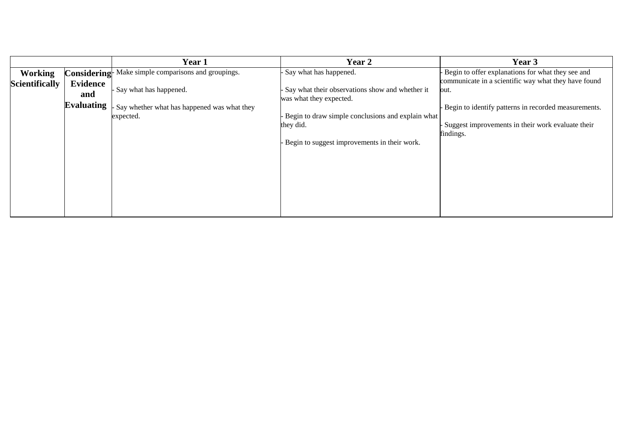|                       |                   | Year 1                                             | Year 2                                            | Year 3                                                 |
|-----------------------|-------------------|----------------------------------------------------|---------------------------------------------------|--------------------------------------------------------|
| <b>Working</b>        |                   | Considering Make simple comparisons and groupings. | - Say what has happened.                          | Begin to offer explanations for what they see and      |
| <b>Scientifically</b> | <b>Evidence</b>   |                                                    |                                                   | communicate in a scientific way what they have found   |
|                       | and               | Say what has happened.                             | Say what their observations show and whether it   | out.                                                   |
|                       | <b>Evaluating</b> |                                                    | was what they expected.                           |                                                        |
|                       |                   | Say whether what has happened was what they        | Begin to draw simple conclusions and explain what | - Begin to identify patterns in recorded measurements. |
|                       |                   | expected.                                          | they did.                                         | Suggest improvements in their work evaluate their      |
|                       |                   |                                                    |                                                   | findings.                                              |
|                       |                   |                                                    | Begin to suggest improvements in their work.      |                                                        |
|                       |                   |                                                    |                                                   |                                                        |
|                       |                   |                                                    |                                                   |                                                        |
|                       |                   |                                                    |                                                   |                                                        |
|                       |                   |                                                    |                                                   |                                                        |
|                       |                   |                                                    |                                                   |                                                        |
|                       |                   |                                                    |                                                   |                                                        |
|                       |                   |                                                    |                                                   |                                                        |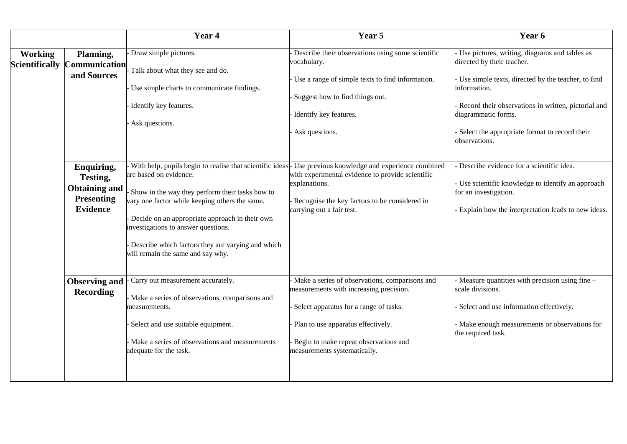|                                  |                                                                                        | Year 4                                                                                                                                                                                                                                                                                                                                                                                                                     | Year 5                                                                                                                                                                                                                                             | Year 6                                                                                                                                                                                                                                                                                              |
|----------------------------------|----------------------------------------------------------------------------------------|----------------------------------------------------------------------------------------------------------------------------------------------------------------------------------------------------------------------------------------------------------------------------------------------------------------------------------------------------------------------------------------------------------------------------|----------------------------------------------------------------------------------------------------------------------------------------------------------------------------------------------------------------------------------------------------|-----------------------------------------------------------------------------------------------------------------------------------------------------------------------------------------------------------------------------------------------------------------------------------------------------|
| <b>Working</b><br>Scientifically | Planning,<br><b>Communication</b><br>and Sources                                       | Draw simple pictures.<br>Talk about what they see and do.<br>Use simple charts to communicate findings.<br>Identify key features.<br>Ask questions.                                                                                                                                                                                                                                                                        | Describe their observations using some scientific<br>vocabulary.<br>Use a range of simple texts to find information.<br>Suggest how to find things out.<br>Identify key features.<br>Ask questions.                                                | Use pictures, writing, diagrams and tables as<br>directed by their teacher.<br>Use simple texts, directed by the teacher, to find<br>information.<br>Record their observations in written, pictorial and<br>diagrammatic forms.<br>- Select the appropriate format to record their<br>observations. |
|                                  | Enquiring,<br>Testing,<br><b>Obtaining and</b><br><b>Presenting</b><br><b>Evidence</b> | With help, pupils begin to realise that scientific ideas. Use previous knowledge and experience combined<br>are based on evidence.<br>Show in the way they perform their tasks how to<br>vary one factor while keeping others the same.<br>Decide on an appropriate approach in their own<br>investigations to answer questions.<br>Describe which factors they are varying and which<br>will remain the same and say why. | with experimental evidence to provide scientific<br>explanations.<br>Recognise the key factors to be considered in<br>carrying out a fair test.                                                                                                    | Describe evidence for a scientific idea.<br>Use scientific knowledge to identify an approach<br>for an investigation.<br>Explain how the interpretation leads to new ideas.                                                                                                                         |
|                                  | <b>Observing and</b><br><b>Recording</b>                                               | Carry out measurement accurately.<br>Make a series of observations, comparisons and<br>neasurements.<br>Select and use suitable equipment.<br>Make a series of observations and measurements<br>adequate for the task.                                                                                                                                                                                                     | Make a series of observations, comparisons and<br>measurements with increasing precision.<br>Select apparatus for a range of tasks.<br>Plan to use apparatus effectively.<br>Begin to make repeat observations and<br>measurements systematically. | Measure quantities with precision using fine -<br>scale divisions.<br>- Select and use information effectively.<br>- Make enough measurements or observations for<br>the required task.                                                                                                             |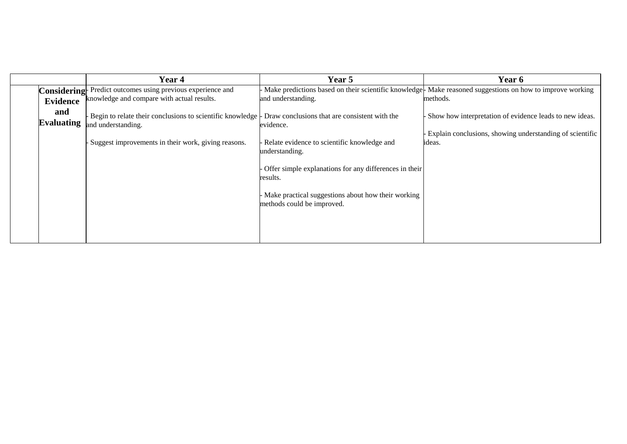|                          | Year 4                                                                                                   | Year 5                                                                           | Year 6                                                                                                                |
|--------------------------|----------------------------------------------------------------------------------------------------------|----------------------------------------------------------------------------------|-----------------------------------------------------------------------------------------------------------------------|
| <b>Evidence</b>          | Considering Predict outcomes using previous experience and<br>knowledge and compare with actual results. | and understanding.                                                               | Make predictions based on their scientific knowledge. Make reasoned suggestions on how to improve working<br>methods. |
| and<br><b>Evaluating</b> | Begin to relate their conclusions to scientific knowledge<br>and understanding.                          | Draw conclusions that are consistent with the<br>evidence.                       | Show how interpretation of evidence leads to new ideas.                                                               |
|                          | Suggest improvements in their work, giving reasons.                                                      | Relate evidence to scientific knowledge and<br>understanding.                    | Explain conclusions, showing understanding of scientific<br>ideas.                                                    |
|                          |                                                                                                          | Offer simple explanations for any differences in their<br>results.               |                                                                                                                       |
|                          |                                                                                                          | Make practical suggestions about how their working<br>methods could be improved. |                                                                                                                       |
|                          |                                                                                                          |                                                                                  |                                                                                                                       |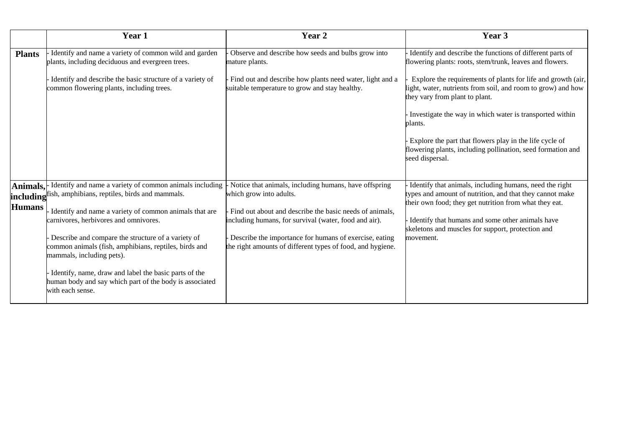|                           | Year 1                                                                                                                                                                                                                                                                                                                    | Year 2                                                                                                                                                                        | Year 3                                                                                                                                                                        |
|---------------------------|---------------------------------------------------------------------------------------------------------------------------------------------------------------------------------------------------------------------------------------------------------------------------------------------------------------------------|-------------------------------------------------------------------------------------------------------------------------------------------------------------------------------|-------------------------------------------------------------------------------------------------------------------------------------------------------------------------------|
| <b>Plants</b>             | Identify and name a variety of common wild and garden<br>plants, including deciduous and evergreen trees.                                                                                                                                                                                                                 | Observe and describe how seeds and bulbs grow into<br>mature plants.                                                                                                          | Identify and describe the functions of different parts of<br>flowering plants: roots, stem/trunk, leaves and flowers.                                                         |
|                           | Identify and describe the basic structure of a variety of<br>common flowering plants, including trees.                                                                                                                                                                                                                    | Find out and describe how plants need water, light and a<br>suitable temperature to grow and stay healthy.                                                                    | Explore the requirements of plants for life and growth (air,<br>light, water, nutrients from soil, and room to grow) and how<br>they vary from plant to plant.                |
|                           |                                                                                                                                                                                                                                                                                                                           |                                                                                                                                                                               | Investigate the way in which water is transported within<br>plants.                                                                                                           |
|                           |                                                                                                                                                                                                                                                                                                                           |                                                                                                                                                                               | Explore the part that flowers play in the life cycle of<br>flowering plants, including pollination, seed formation and<br>seed dispersal.                                     |
| Animals,<br><b>Humans</b> | Identify and name a variety of common animals including<br>including fish, amphibians, reptiles, birds and mammals.<br>Identify and name a variety of common animals that are                                                                                                                                             | Notice that animals, including humans, have offspring<br>which grow into adults.<br>Find out about and describe the basic needs of animals,                                   | Identify that animals, including humans, need the right<br>types and amount of nutrition, and that they cannot make<br>their own food; they get nutrition from what they eat. |
|                           | carnivores, herbivores and omnivores.<br>Describe and compare the structure of a variety of<br>common animals (fish, amphibians, reptiles, birds and<br>mammals, including pets).<br>Identify, name, draw and label the basic parts of the<br>human body and say which part of the body is associated<br>with each sense. | including humans, for survival (water, food and air).<br>Describe the importance for humans of exercise, eating<br>the right amounts of different types of food, and hygiene. | Identify that humans and some other animals have<br>skeletons and muscles for support, protection and<br>movement.                                                            |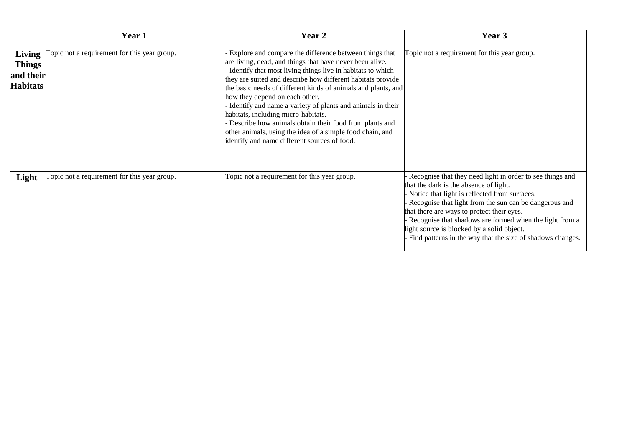|                                                         | Year 1                                       | Year 2                                                                                                                                                                                                                                                                                                                                                                                                                                                                                                                                                                                                                         | Year 3                                                                                                                                                                                                                                                                                                                                                                                                                              |
|---------------------------------------------------------|----------------------------------------------|--------------------------------------------------------------------------------------------------------------------------------------------------------------------------------------------------------------------------------------------------------------------------------------------------------------------------------------------------------------------------------------------------------------------------------------------------------------------------------------------------------------------------------------------------------------------------------------------------------------------------------|-------------------------------------------------------------------------------------------------------------------------------------------------------------------------------------------------------------------------------------------------------------------------------------------------------------------------------------------------------------------------------------------------------------------------------------|
| Living<br><b>Things</b><br>and their<br><b>Habitats</b> | Topic not a requirement for this year group. | Explore and compare the difference between things that<br>are living, dead, and things that have never been alive.<br>Identify that most living things live in habitats to which<br>they are suited and describe how different habitats provide<br>the basic needs of different kinds of animals and plants, and<br>how they depend on each other.<br>Identify and name a variety of plants and animals in their<br>nabitats, including micro-habitats.<br>Describe how animals obtain their food from plants and<br>other animals, using the idea of a simple food chain, and<br>identify and name different sources of food. | Topic not a requirement for this year group.                                                                                                                                                                                                                                                                                                                                                                                        |
| Light                                                   | Topic not a requirement for this year group. | Topic not a requirement for this year group.                                                                                                                                                                                                                                                                                                                                                                                                                                                                                                                                                                                   | Recognise that they need light in order to see things and<br>that the dark is the absence of light.<br>Notice that light is reflected from surfaces.<br>Recognise that light from the sun can be dangerous and<br>that there are ways to protect their eyes.<br>Recognise that shadows are formed when the light from a<br>light source is blocked by a solid object.<br>Find patterns in the way that the size of shadows changes. |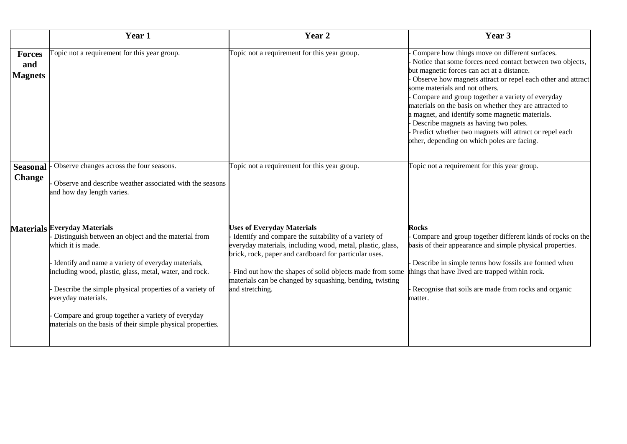|                                        | Year 1                                                                                                                                                                                                                                                                                                                                                                                                                                | Year 2                                                                                                                                                                                                                                                                                                                                              | Year 3                                                                                                                                                                                                                                                                                                                                                                                                                                                                                                                                                                         |
|----------------------------------------|---------------------------------------------------------------------------------------------------------------------------------------------------------------------------------------------------------------------------------------------------------------------------------------------------------------------------------------------------------------------------------------------------------------------------------------|-----------------------------------------------------------------------------------------------------------------------------------------------------------------------------------------------------------------------------------------------------------------------------------------------------------------------------------------------------|--------------------------------------------------------------------------------------------------------------------------------------------------------------------------------------------------------------------------------------------------------------------------------------------------------------------------------------------------------------------------------------------------------------------------------------------------------------------------------------------------------------------------------------------------------------------------------|
| <b>Forces</b><br>and<br><b>Magnets</b> | Topic not a requirement for this year group.                                                                                                                                                                                                                                                                                                                                                                                          | Topic not a requirement for this year group.                                                                                                                                                                                                                                                                                                        | Compare how things move on different surfaces.<br>Notice that some forces need contact between two objects,<br>but magnetic forces can act at a distance.<br>Observe how magnets attract or repel each other and attract<br>some materials and not others.<br>Compare and group together a variety of everyday<br>materials on the basis on whether they are attracted to<br>a magnet, and identify some magnetic materials.<br>Describe magnets as having two poles.<br>Predict whether two magnets will attract or repel each<br>other, depending on which poles are facing. |
| <b>Seasonal</b><br><b>Change</b>       | Observe changes across the four seasons.<br>Observe and describe weather associated with the seasons<br>and how day length varies.                                                                                                                                                                                                                                                                                                    | Topic not a requirement for this year group.                                                                                                                                                                                                                                                                                                        | Topic not a requirement for this year group.                                                                                                                                                                                                                                                                                                                                                                                                                                                                                                                                   |
|                                        | <b>Materials Everyday Materials</b><br>Distinguish between an object and the material from<br>which it is made.<br>Identify and name a variety of everyday materials,<br>including wood, plastic, glass, metal, water, and rock.<br>Describe the simple physical properties of a variety of<br>everyday materials.<br>Compare and group together a variety of everyday<br>materials on the basis of their simple physical properties. | Uses of Everyday Materials<br>Identify and compare the suitability of a variety of<br>everyday materials, including wood, metal, plastic, glass,<br>brick, rock, paper and cardboard for particular uses.<br>Find out how the shapes of solid objects made from some<br>materials can be changed by squashing, bending, twisting<br>and stretching. | <b>Rocks</b><br>Compare and group together different kinds of rocks on the<br>pasis of their appearance and simple physical properties.<br>Describe in simple terms how fossils are formed when<br>hings that have lived are trapped within rock.<br>Recognise that soils are made from rocks and organic<br>matter.                                                                                                                                                                                                                                                           |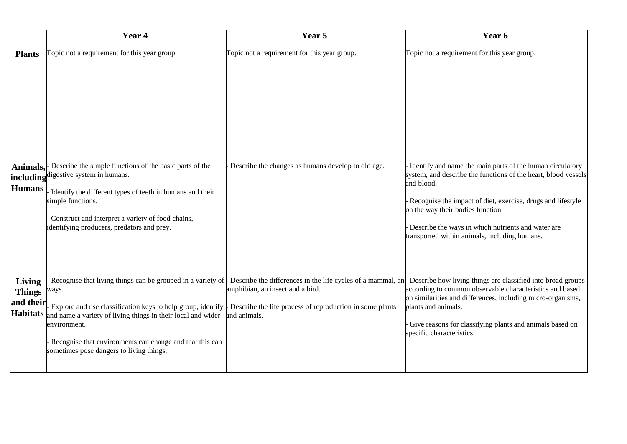|                                                         | Year 4                                                                                                                                                                                                                                                                                                                             | Year 5                                             | Year 6                                                                                                                                                                                                                                                                                                                                                                                                                                          |
|---------------------------------------------------------|------------------------------------------------------------------------------------------------------------------------------------------------------------------------------------------------------------------------------------------------------------------------------------------------------------------------------------|----------------------------------------------------|-------------------------------------------------------------------------------------------------------------------------------------------------------------------------------------------------------------------------------------------------------------------------------------------------------------------------------------------------------------------------------------------------------------------------------------------------|
| <b>Plants</b>                                           | Topic not a requirement for this year group.                                                                                                                                                                                                                                                                                       | Topic not a requirement for this year group.       | Topic not a requirement for this year group.                                                                                                                                                                                                                                                                                                                                                                                                    |
| Animals,⊦<br><b>Humans</b>                              | Describe the simple functions of the basic parts of the<br><b>including</b> digestive system in humans.<br>Identify the different types of teeth in humans and their<br>simple functions.<br>Construct and interpret a variety of food chains,<br>identifying producers, predators and prey.                                       | Describe the changes as humans develop to old age. | Identify and name the main parts of the human circulatory<br>system, and describe the functions of the heart, blood vessels<br>and blood.<br>- Recognise the impact of diet, exercise, drugs and lifestyle<br>on the way their bodies function.<br>Describe the ways in which nutrients and water are<br>transported within animals, including humans.                                                                                          |
| Living<br><b>Things</b><br>and their<br><b>Habitats</b> | ways.<br>Explore and use classification keys to help group, identify $\downarrow$ Describe the life process of reproduction in some plants<br>and name a variety of living things in their local and wider<br>environment.<br>Recognise that environments can change and that this can<br>sometimes pose dangers to living things. | amphibian, an insect and a bird.<br>and animals.   | Recognise that living things can be grouped in a variety of $\vdash$ Describe the differences in the life cycles of a mammal, an $\vdash$ Describe how living things are classified into broad groups<br>according to common observable characteristics and based<br>on similarities and differences, including micro-organisms,<br>plants and animals.<br>Give reasons for classifying plants and animals based on<br>specific characteristics |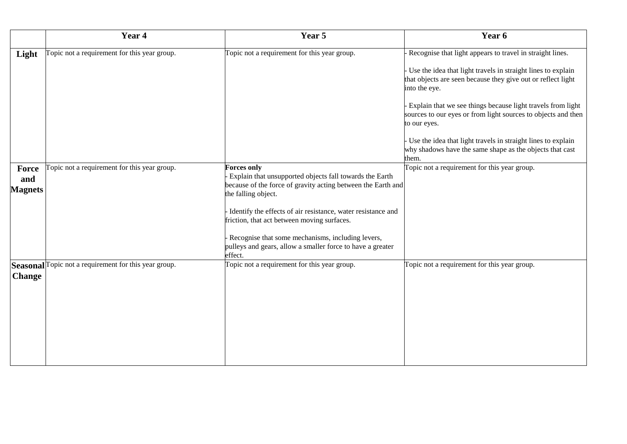|                                       | Year 4                                                           | Year 5                                                                                                                                                                                                                                                                                                                                                                                                            | Year 6                                                                                                                                                                                                                                                                                                                                                                                                                                                                                          |
|---------------------------------------|------------------------------------------------------------------|-------------------------------------------------------------------------------------------------------------------------------------------------------------------------------------------------------------------------------------------------------------------------------------------------------------------------------------------------------------------------------------------------------------------|-------------------------------------------------------------------------------------------------------------------------------------------------------------------------------------------------------------------------------------------------------------------------------------------------------------------------------------------------------------------------------------------------------------------------------------------------------------------------------------------------|
| Light                                 | Topic not a requirement for this year group.                     | Topic not a requirement for this year group.                                                                                                                                                                                                                                                                                                                                                                      | Recognise that light appears to travel in straight lines.<br>Use the idea that light travels in straight lines to explain<br>that objects are seen because they give out or reflect light<br>into the eye.<br>Explain that we see things because light travels from light<br>sources to our eyes or from light sources to objects and then<br>to our eyes.<br>Use the idea that light travels in straight lines to explain<br>why shadows have the same shape as the objects that cast<br>them. |
| <b>Force</b><br>and<br><b>Magnets</b> | Topic not a requirement for this year group.                     | <b>Forces only</b><br>Explain that unsupported objects fall towards the Earth<br>because of the force of gravity acting between the Earth and<br>the falling object.<br>Identify the effects of air resistance, water resistance and<br>friction, that act between moving surfaces.<br>Recognise that some mechanisms, including levers,<br>pulleys and gears, allow a smaller force to have a greater<br>effect. | Topic not a requirement for this year group.                                                                                                                                                                                                                                                                                                                                                                                                                                                    |
| <b>Change</b>                         | Seasonal <sup>Topic</sup> not a requirement for this year group. | Topic not a requirement for this year group.                                                                                                                                                                                                                                                                                                                                                                      | Topic not a requirement for this year group.                                                                                                                                                                                                                                                                                                                                                                                                                                                    |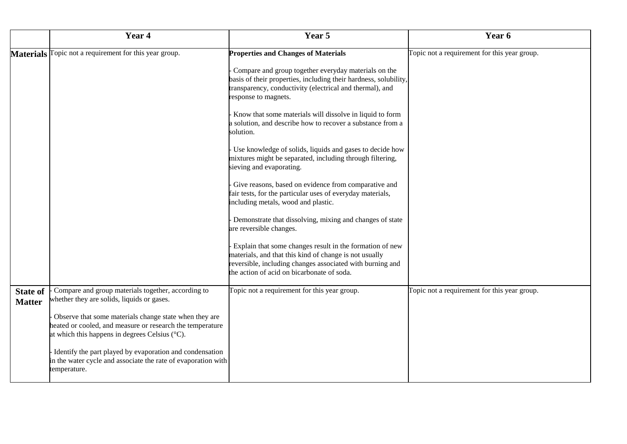|                                  | Year 4                                                                                                                                                                          | Year 5                                                                                                                                                                                                                        | Year 6                                       |
|----------------------------------|---------------------------------------------------------------------------------------------------------------------------------------------------------------------------------|-------------------------------------------------------------------------------------------------------------------------------------------------------------------------------------------------------------------------------|----------------------------------------------|
| <b>Materials</b>                 | Topic not a requirement for this year group.                                                                                                                                    | <b>Properties and Changes of Materials</b>                                                                                                                                                                                    | Topic not a requirement for this year group. |
|                                  |                                                                                                                                                                                 | Compare and group together everyday materials on the<br>pasis of their properties, including their hardness, solubility,<br>transparency, conductivity (electrical and thermal), and<br>response to magnets.                  |                                              |
|                                  |                                                                                                                                                                                 | Know that some materials will dissolve in liquid to form<br>solution, and describe how to recover a substance from a<br>solution.                                                                                             |                                              |
|                                  |                                                                                                                                                                                 | Use knowledge of solids, liquids and gases to decide how<br>mixtures might be separated, including through filtering,<br>sieving and evaporating.                                                                             |                                              |
|                                  |                                                                                                                                                                                 | Give reasons, based on evidence from comparative and<br>fair tests, for the particular uses of everyday materials,<br>including metals, wood and plastic.                                                                     |                                              |
|                                  |                                                                                                                                                                                 | Demonstrate that dissolving, mixing and changes of state<br>are reversible changes.                                                                                                                                           |                                              |
|                                  |                                                                                                                                                                                 | Explain that some changes result in the formation of new<br>materials, and that this kind of change is not usually<br>reversible, including changes associated with burning and<br>the action of acid on bicarbonate of soda. |                                              |
| <b>State of</b><br><b>Matter</b> | Compare and group materials together, according to<br>whether they are solids, liquids or gases.                                                                                | Topic not a requirement for this year group.                                                                                                                                                                                  | Topic not a requirement for this year group. |
|                                  | Observe that some materials change state when they are<br>heated or cooled, and measure or research the temperature<br>at which this happens in degrees Celsius $(^{\circ}C)$ . |                                                                                                                                                                                                                               |                                              |
|                                  | Identify the part played by evaporation and condensation<br>in the water cycle and associate the rate of evaporation with<br>temperature.                                       |                                                                                                                                                                                                                               |                                              |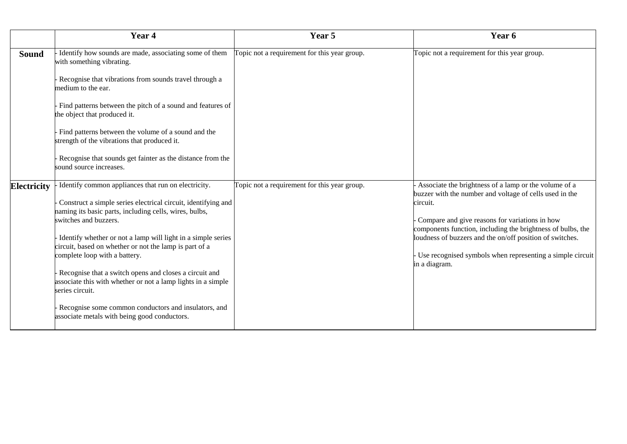|                    | Year 4                                                                                                                                                                                                                                                                                                                                                                                                                                                                                                                                                                                                                  | Year 5                                       | Year 6                                                                                                                                                                                                                                                                                                                                                                                  |
|--------------------|-------------------------------------------------------------------------------------------------------------------------------------------------------------------------------------------------------------------------------------------------------------------------------------------------------------------------------------------------------------------------------------------------------------------------------------------------------------------------------------------------------------------------------------------------------------------------------------------------------------------------|----------------------------------------------|-----------------------------------------------------------------------------------------------------------------------------------------------------------------------------------------------------------------------------------------------------------------------------------------------------------------------------------------------------------------------------------------|
| <b>Sound</b>       | Identify how sounds are made, associating some of them<br>with something vibrating.                                                                                                                                                                                                                                                                                                                                                                                                                                                                                                                                     | Topic not a requirement for this year group. | Topic not a requirement for this year group.                                                                                                                                                                                                                                                                                                                                            |
|                    | Recognise that vibrations from sounds travel through a<br>medium to the ear.                                                                                                                                                                                                                                                                                                                                                                                                                                                                                                                                            |                                              |                                                                                                                                                                                                                                                                                                                                                                                         |
|                    | Find patterns between the pitch of a sound and features of<br>the object that produced it.                                                                                                                                                                                                                                                                                                                                                                                                                                                                                                                              |                                              |                                                                                                                                                                                                                                                                                                                                                                                         |
|                    | Find patterns between the volume of a sound and the<br>strength of the vibrations that produced it.                                                                                                                                                                                                                                                                                                                                                                                                                                                                                                                     |                                              |                                                                                                                                                                                                                                                                                                                                                                                         |
|                    | Recognise that sounds get fainter as the distance from the<br>sound source increases.                                                                                                                                                                                                                                                                                                                                                                                                                                                                                                                                   |                                              |                                                                                                                                                                                                                                                                                                                                                                                         |
| <b>Electricity</b> | Identify common appliances that run on electricity.<br>Construct a simple series electrical circuit, identifying and<br>naming its basic parts, including cells, wires, bulbs,<br>switches and buzzers.<br>Identify whether or not a lamp will light in a simple series<br>circuit, based on whether or not the lamp is part of a<br>complete loop with a battery.<br>Recognise that a switch opens and closes a circuit and<br>associate this with whether or not a lamp lights in a simple<br>series circuit.<br>Recognise some common conductors and insulators, and<br>associate metals with being good conductors. | Topic not a requirement for this year group. | Associate the brightness of a lamp or the volume of a<br>buzzer with the number and voltage of cells used in the<br>circuit.<br>Compare and give reasons for variations in how<br>components function, including the brightness of bulbs, the<br>loudness of buzzers and the on/off position of switches.<br>Use recognised symbols when representing a simple circuit<br>in a diagram. |